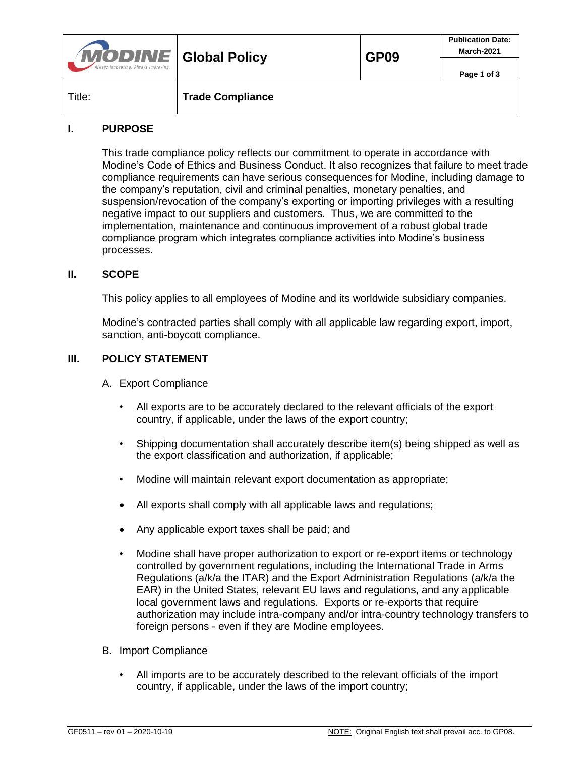| <b>MODINE</b> Global Policy<br>Always Innovating. Always Improving. |                         | <b>GP09</b> | <b>Publication Date:</b><br>March-2021 |
|---------------------------------------------------------------------|-------------------------|-------------|----------------------------------------|
|                                                                     |                         |             | Page 1 of 3                            |
| Title:                                                              | <b>Trade Compliance</b> |             |                                        |

## **I. PURPOSE**

This trade compliance policy reflects our commitment to operate in accordance with Modine's Code of Ethics and Business Conduct. It also recognizes that failure to meet trade compliance requirements can have serious consequences for Modine, including damage to the company's reputation, civil and criminal penalties, monetary penalties, and suspension/revocation of the company's exporting or importing privileges with a resulting negative impact to our suppliers and customers. Thus, we are committed to the implementation, maintenance and continuous improvement of a robust global trade compliance program which integrates compliance activities into Modine's business processes.

## **II. SCOPE**

This policy applies to all employees of Modine and its worldwide subsidiary companies.

Modine's contracted parties shall comply with all applicable law regarding export, import, sanction, anti-boycott compliance.

## **III. POLICY STATEMENT**

- A. Export Compliance
	- All exports are to be accurately declared to the relevant officials of the export country, if applicable, under the laws of the export country;
	- Shipping documentation shall accurately describe item(s) being shipped as well as the export classification and authorization, if applicable;
	- Modine will maintain relevant export documentation as appropriate;
	- All exports shall comply with all applicable laws and regulations;
	- Any applicable export taxes shall be paid; and
	- Modine shall have proper authorization to export or re-export items or technology controlled by government regulations, including the International Trade in Arms Regulations (a/k/a the ITAR) and the Export Administration Regulations (a/k/a the EAR) in the United States, relevant EU laws and regulations, and any applicable local government laws and regulations. Exports or re-exports that require authorization may include intra-company and/or intra-country technology transfers to foreign persons - even if they are Modine employees.
- B. Import Compliance
	- All imports are to be accurately described to the relevant officials of the import country, if applicable, under the laws of the import country;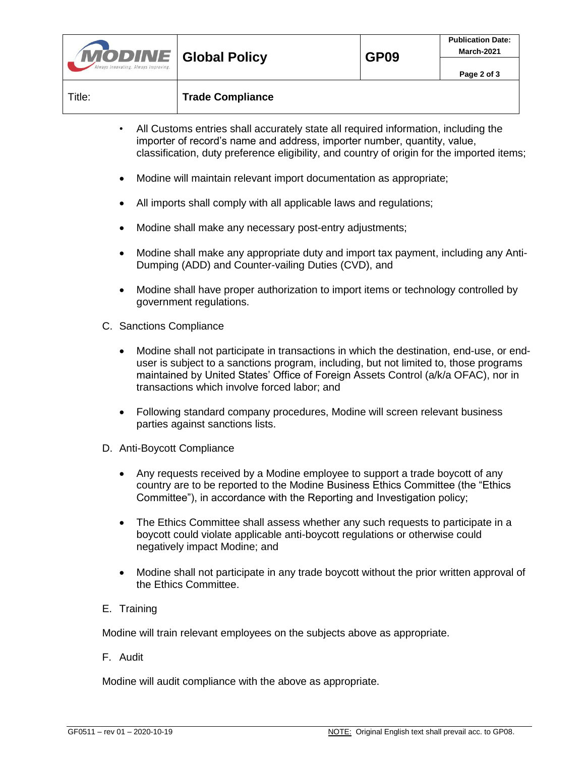| <b>MODINE</b> Global Policy<br>Always Innovating. Always Improving. |                         | GP <sub>09</sub> | <b>Publication Date:</b><br>March-2021 |
|---------------------------------------------------------------------|-------------------------|------------------|----------------------------------------|
|                                                                     |                         |                  | Page 2 of 3                            |
| Title:                                                              | <b>Trade Compliance</b> |                  |                                        |

- All Customs entries shall accurately state all required information, including the importer of record's name and address, importer number, quantity, value, classification, duty preference eligibility, and country of origin for the imported items;
- Modine will maintain relevant import documentation as appropriate;
- All imports shall comply with all applicable laws and regulations;
- Modine shall make any necessary post-entry adjustments;
- Modine shall make any appropriate duty and import tax payment, including any Anti-Dumping (ADD) and Counter-vailing Duties (CVD), and
- Modine shall have proper authorization to import items or technology controlled by government regulations.
- C. Sanctions Compliance
	- Modine shall not participate in transactions in which the destination, end-use, or enduser is subject to a sanctions program, including, but not limited to, those programs maintained by United States' Office of Foreign Assets Control (a/k/a OFAC), nor in transactions which involve forced labor; and
	- Following standard company procedures, Modine will screen relevant business parties against sanctions lists.
- D. Anti-Boycott Compliance
	- Any requests received by a Modine employee to support a trade boycott of any country are to be reported to the Modine Business Ethics Committee (the "Ethics Committee"), in accordance with the Reporting and Investigation policy;
	- The Ethics Committee shall assess whether any such requests to participate in a boycott could violate applicable anti-boycott regulations or otherwise could negatively impact Modine; and
	- Modine shall not participate in any trade boycott without the prior written approval of the Ethics Committee.
- E. Training

Modine will train relevant employees on the subjects above as appropriate.

F. Audit

Modine will audit compliance with the above as appropriate.